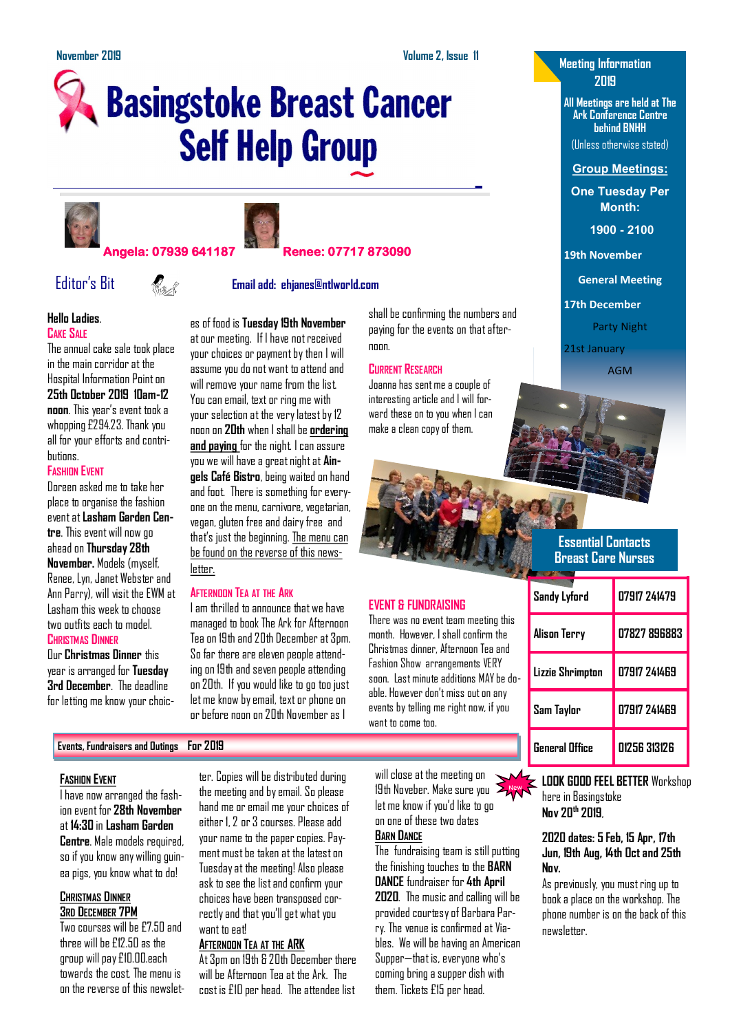shall be confirming the numbers and paying for the events on that after-

Joanna has sent me a couple of interesting article and I will forward these on to you when I can make a clean copy of them.

**EVENT & FUNDRAISING**

want to come too.

There was no event team meeting this month. However, I shall confirm the Christmas dinner, Afternoon Tea and Fashion Show arrangements VERY soon. Last minute additions MAY be doable. However don't miss out on any events by telling me right now, if you

noon

**CURRENT RESEARCH**

# **Basingstoke Breast Cancer Self Help Group**





### **Angela: 07939 641187 Renee: 07717 873090**

letter.

**AFTERNOON TEA AT THE ARK**

I am thrilled to announce that we have managed to book The Ark for Afternoon Tea on 19th and 20th December at 3pm. So far there are eleven people attending on 19th and seven people attending on 20th. If you would like to go too just let me know by email, text or phone on or before noon on 20th November as I

## Editor's Bit **Email add: ehjanes@ntlworld.com**

es of food is **Tuesday 19th November**  at our meeting. If I have not received your choices or payment by then I will assume you do not want to attend and will remove your name from the list. You can email, text or ring me with your selection at the very latest by 12 noon on **20th** when I shall be **ordering and paying** for the night. I can assure you we will have a great night at **Aingels Café Bistro**, being waited on hand and foot. There is something for everyone on the menu, carnivore, vegetarian, vegan, gluten free and dairy free and that's just the beginning. The menu can be found on the reverse of this news-

#### **Hello Ladies**. **CAKE SALE**

The annual cake sale took place in the main corridor at the Hospital Information Point on **25th October 2019 10am-12 noon**. This year's event took a whopping £294.23. Thank you all for your efforts and contributions.

#### **FASHION EVENT**

Doreen asked me to take her place to organise the fashion event at **Lasham Garden Centre**. This event will now go ahead on **Thursday 28th November.** Models (myself, Renee, Lyn, Janet Webster and Ann Parry), will visit the EWM at Lasham this week to choose two outfits each to model. **CHRISTMAS DINNER**

Our **Christmas Dinner** this year is arranged for **Tuesday 3rd December**. The deadline for letting me know your choic-

#### **Events, Fundraisers and Outings For 2019**

#### **FASHION EVENT**

I have now arranged the fashion event for **28th November**  at **14:30** in **Lasham Garden Centre**. Male models required, so if you know any willing guinea pigs, you know what to do!

#### **CHRISTMAS DINNER 3RD DECEMBER 7PM**

Two courses will be £7.50 and three will be £12.50 as the group will pay £10.00.each towards the cost. The menu is on the reverse of this newslet-

ter. Copies will be distributed during the meeting and by email. So please hand me or email me your choices of either 1, 2 or 3 courses. Please add your name to the paper copies. Payment must be taken at the latest on Tuesday at the meeting! Also please ask to see the list and confirm your choices have been transposed correctly and that you'll get what you want to eat!

#### **AFTERNOON TEA AT THE ARK**

At 3pm on 19th & 20th December there will be Afternoon Tea at the Ark. The cost is £10 per head. The attendee list

will close at the meeting on 19th Noveber. Make sure you let me know if you'd like to go on one of these two dates **BARN DANCE**

The fundraising team is still putting the finishing touches to the **BARN DANCE** fundraiser for **4th April 2020**. The music and calling will be provided courtesy of Barbara Parry. The venue is confirmed at Viables. We will be having an American Supper—that is, everyone who's coming bring a supper dish with them. Tickets £15 per head.

#### **Meeting Information 2019**

**All Meetings are held at The Ark Conference Centre behind BNHH**

(Unless otherwise stated)

**Group Meetings:**

**One Tuesday Per Month:**

**1900 - 2100** 

**19th November**

**General Meeting**

**17th December**

Party Night

21st January

AGM

## **Essential Contacts Breast Care Nurses**

| Sandy Lyford          | 07917 241479 |
|-----------------------|--------------|
| Alison Terry          | 07827 896883 |
| Lizzie Shrimpton      | 07917 241469 |
| Sam Taylor            | 07917 241469 |
| <b>General Office</b> | 01256 313126 |

**LOOK GOOD FEEL BETTER** Workshop here in Basingstoke **Nov 20th 2019**,

#### **2020 dates: 5 Feb, 15 Apr, 17th Jun, 19th Aug, 14th Oct and 25th Nov.**

As previously, you must ring up to book a place on the workshop. The phone number is on the back of this newsletter.